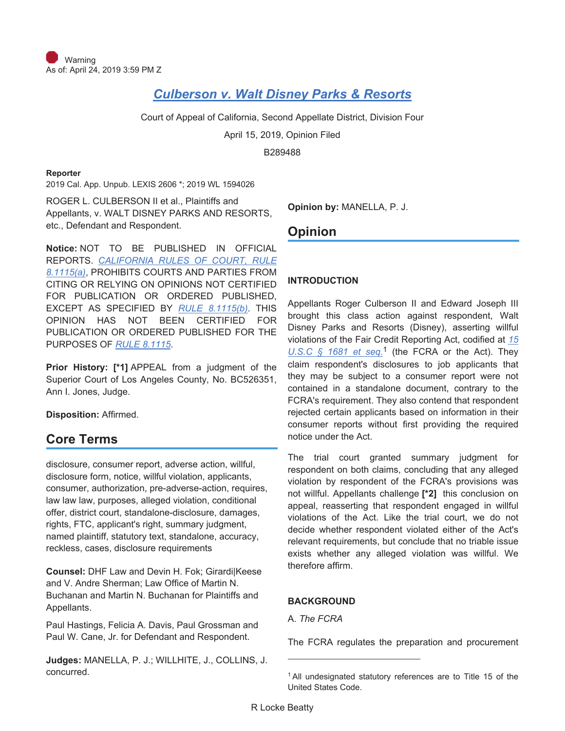# *Culberson v. Walt Disney Parks & Resorts*

Court of Appeal of California, Second Appellate District, Division Four

April 15, 2019, Opinion Filed

B289488

### **Reporter**

2019 Cal. App. Unpub. LEXIS 2606 \*; 2019 WL 1594026

ROGER L. CULBERSON II et al., Plaintiffs and Appellants, v. WALT DISNEY PARKS AND RESORTS, etc., Defendant and Respondent.

**Notice:** NOT TO BE PUBLISHED IN OFFICIAL REPORTS. *CALIFORNIA RULES OF COURT, RULE 8.1115(a)*, PROHIBITS COURTS AND PARTIES FROM CITING OR RELYING ON OPINIONS NOT CERTIFIED FOR PUBLICATION OR ORDERED PUBLISHED, EXCEPT AS SPECIFIED BY *RULE 8.1115(b)*. THIS OPINION HAS NOT BEEN CERTIFIED FOR PUBLICATION OR ORDERED PUBLISHED FOR THE PURPOSES OF *RULE 8.1115*.

**Prior History: [\*1]** APPEAL from a judgment of the Superior Court of Los Angeles County, No. BC526351, Ann I. Jones, Judge.

**Disposition:** Affirmed.

## **Core Terms**

disclosure, consumer report, adverse action, willful, disclosure form, notice, willful violation, applicants, consumer, authorization, pre-adverse-action, requires, law law law, purposes, alleged violation, conditional offer, district court, standalone-disclosure, damages, rights, FTC, applicant's right, summary judgment, named plaintiff, statutory text, standalone, accuracy, reckless, cases, disclosure requirements

**Counsel:** DHF Law and Devin H. Fok; Girardi|Keese and V. Andre Sherman; Law Office of Martin N. Buchanan and Martin N. Buchanan for Plaintiffs and Appellants.

Paul Hastings, Felicia A. Davis, Paul Grossman and Paul W. Cane, Jr. for Defendant and Respondent.

**Judges:** MANELLA, P. J.; WILLHITE, J., COLLINS, J. concurred.

**Opinion by:** MANELLA, P. J.

## **Opinion**

### **INTRODUCTION**

Appellants Roger Culberson II and Edward Joseph III brought this class action against respondent, Walt Disney Parks and Resorts (Disney), asserting willful violations of the Fair Credit Reporting Act, codified at *15 U.S.C § 1681 et seq.*1 (the FCRA or the Act). They claim respondent's disclosures to job applicants that they may be subject to a consumer report were not contained in a standalone document, contrary to the FCRA's requirement. They also contend that respondent rejected certain applicants based on information in their consumer reports without first providing the required notice under the Act.

The trial court granted summary judgment for respondent on both claims, concluding that any alleged violation by respondent of the FCRA's provisions was not willful. Appellants challenge **[\*2]** this conclusion on appeal, reasserting that respondent engaged in willful violations of the Act. Like the trial court, we do not decide whether respondent violated either of the Act's relevant requirements, but conclude that no triable issue exists whether any alleged violation was willful. We therefore affirm.

## **BACKGROUND**

A. *The FCRA*

The FCRA regulates the preparation and procurement

<sup>&</sup>lt;sup>1</sup> All undesignated statutory references are to Title 15 of the United States Code.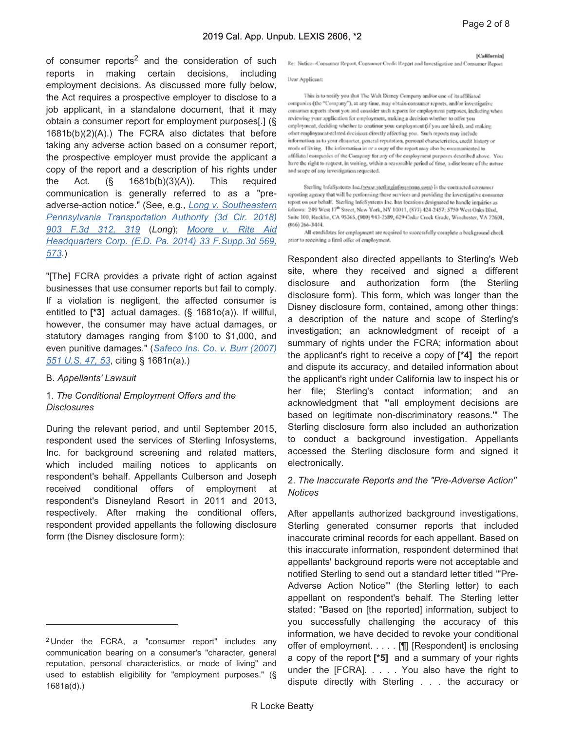of consumer reports<sup>2</sup> and the consideration of such reports in making certain decisions, including employment decisions. As discussed more fully below, the Act requires a prospective employer to disclose to a job applicant, in a standalone document, that it may obtain a consumer report for employment purposes[.] (§ 1681b(b)(2)(A).) The FCRA also dictates that before taking any adverse action based on a consumer report, the prospective employer must provide the applicant a copy of the report and a description of his rights under the Act.  $(\S$  1681b(b)(3)(A)). This required communication is generally referred to as a "preadverse-action notice." (See, e.g., *Long v. Southeastern Pennsylvania Transportation Authority (3d Cir. 2018) 903 F.3d 312, 319* (*Long*); *Moore v. Rite Aid Headquarters Corp. (E.D. Pa. 2014) 33 F.Supp.3d 569, 573*.)

"[The] FCRA provides a private right of action against businesses that use consumer reports but fail to comply. If a violation is negligent, the affected consumer is entitled to **[\*3]** actual damages. (§ 1681o(a)). If willful, however, the consumer may have actual damages, or statutory damages ranging from \$100 to \$1,000, and even punitive damages." (*Safeco Ins. Co. v. Burr (2007) 551 U.S. 47, 53*, citing § 1681n(a).)

#### B. *Appellants' Lawsuit*

### 1. *The Conditional Employment Offers and the Disclosures*

During the relevant period, and until September 2015, respondent used the services of Sterling Infosystems, Inc. for background screening and related matters, which included mailing notices to applicants on respondent's behalf. Appellants Culberson and Joseph received conditional offers of employment at respondent's Disneyland Resort in 2011 and 2013, respectively. After making the conditional offers, respondent provided appellants the following disclosure form (the Disney disclosure form):

[California]

Re: Notice--Consumer Report, Consumer Credit Report and Investigative and Consumer Report

Dear Applicant:

This is to notify you that The Walt Disney Company and/or one of its affiliated companies (the "Company"), at any time, may obtain consumer reports, and/or investigative consumer reports about you and consider such reports for employment purposes, including when reviewing your application for employment, making a decision whether to offer you employment, deciding whether to ceatinue your employment (if you are hired), and making other employment-related decisions directly affecting you. Such reports may include information as to your character, general reputation, personal characteristics, credit history or mode of living. The information in or a copy of the report may also be communicated to affiliated companies of the Company for any of the employment purposes described above. You have the right to request, in writing, within a reasonable period of time, a disclosure of the nature and scope of any investigation requested.

Sterling InfoSystems Inc.(yov.w.sterlinginfosystems.com) is the contracted consumer reporting agency that will be performing these services and providing the investigative consumer report on our behalf. Sterling InfoSystems Inc. has locations designated to handle inquiries as follows: 249 West 17<sup>th</sup> Street, New York, NY 10011, (877) 424-2457; 5750 West Oaks Blvd, Suite 100, Rocklin, CA 95765, (800) 943-2589; 629 Cedar Creek Grade, Winchester, VA 22601,  $(866)$  266-3444.

All eardidates for employment are required to successfully complete a background check prior to receiving a final offer of employment.

Respondent also directed appellants to Sterling's Web site, where they received and signed a different disclosure and authorization form (the Sterling disclosure form). This form, which was longer than the Disney disclosure form, contained, among other things: a description of the nature and scope of Sterling's investigation; an acknowledgment of receipt of a summary of rights under the FCRA; information about the applicant's right to receive a copy of **[\*4]** the report and dispute its accuracy, and detailed information about the applicant's right under California law to inspect his or her file; Sterling's contact information; and an acknowledgment that "'all employment decisions are based on legitimate non-discriminatory reasons.'" The Sterling disclosure form also included an authorization to conduct a background investigation. Appellants accessed the Sterling disclosure form and signed it electronically.

### 2. *The Inaccurate Reports and the "Pre-Adverse Action" Notices*

After appellants authorized background investigations, Sterling generated consumer reports that included inaccurate criminal records for each appellant. Based on this inaccurate information, respondent determined that appellants' background reports were not acceptable and notified Sterling to send out a standard letter titled "'Pre-Adverse Action Notice'" (the Sterling letter) to each appellant on respondent's behalf. The Sterling letter stated: "Based on [the reported] information, subject to you successfully challenging the accuracy of this information, we have decided to revoke your conditional offer of employment. . . . . [¶] [Respondent] is enclosing a copy of the report **[\*5]** and a summary of your rights under the [FCRA]. . . . . You also have the right to dispute directly with Sterling . . . the accuracy or

<sup>2</sup> Under the FCRA, a "consumer report" includes any communication bearing on a consumer's "character, general reputation, personal characteristics, or mode of living" and used to establish eligibility for "employment purposes." (§ 1681a(d).)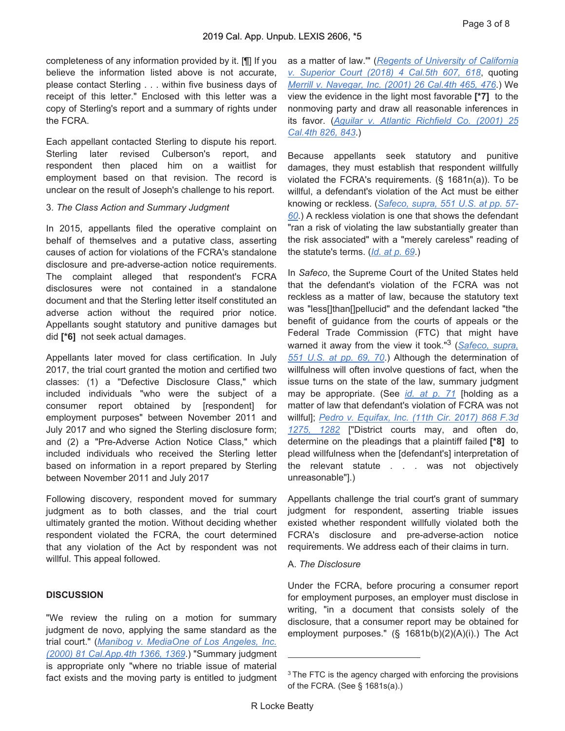completeness of any information provided by it. [¶] If you believe the information listed above is not accurate, please contact Sterling . . . within five business days of receipt of this letter." Enclosed with this letter was a copy of Sterling's report and a summary of rights under the FCRA.

Each appellant contacted Sterling to dispute his report. Sterling later revised Culberson's report, and respondent then placed him on a waitlist for employment based on that revision. The record is unclear on the result of Joseph's challenge to his report.

#### 3. *The Class Action and Summary Judgment*

In 2015, appellants filed the operative complaint on behalf of themselves and a putative class, asserting causes of action for violations of the FCRA's standalone disclosure and pre-adverse-action notice requirements. The complaint alleged that respondent's FCRA disclosures were not contained in a standalone document and that the Sterling letter itself constituted an adverse action without the required prior notice. Appellants sought statutory and punitive damages but did **[\*6]** not seek actual damages.

Appellants later moved for class certification. In July 2017, the trial court granted the motion and certified two classes: (1) a "Defective Disclosure Class," which included individuals "who were the subject of a consumer report obtained by [respondent] for employment purposes" between November 2011 and July 2017 and who signed the Sterling disclosure form; and (2) a "Pre-Adverse Action Notice Class," which included individuals who received the Sterling letter based on information in a report prepared by Sterling between November 2011 and July 2017

Following discovery, respondent moved for summary judgment as to both classes, and the trial court ultimately granted the motion. Without deciding whether respondent violated the FCRA, the court determined that any violation of the Act by respondent was not willful. This appeal followed.

#### **DISCUSSION**

"We review the ruling on a motion for summary judgment de novo, applying the same standard as the trial court." (*Manibog v. MediaOne of Los Angeles, Inc. (2000) 81 Cal.App.4th 1366, 1369*.) "Summary judgment is appropriate only "where no triable issue of material fact exists and the moving party is entitled to judgment as a matter of law.'" (*Regents of University of California v. Superior Court (2018) 4 Cal.5th 607, 618*, quoting *Merrill v. Navegar, Inc. (2001) 26 Cal.4th 465, 476*.) We view the evidence in the light most favorable **[\*7]** to the nonmoving party and draw all reasonable inferences in its favor. (*Aguilar v. Atlantic Richfield Co. (2001) 25 Cal.4th 826, 843*.)

Because appellants seek statutory and punitive damages, they must establish that respondent willfully violated the FCRA's requirements. (§ 1681n(a)). To be willful, a defendant's violation of the Act must be either knowing or reckless. (*Safeco, supra, 551 U.S. at pp. 57- 60*.) A reckless violation is one that shows the defendant "ran a risk of violating the law substantially greater than the risk associated" with a "merely careless" reading of the statute's terms. (*Id. at p. 69*.)

In *Safeco*, the Supreme Court of the United States held that the defendant's violation of the FCRA was not reckless as a matter of law, because the statutory text was "less[]than[]pellucid" and the defendant lacked "the benefit of guidance from the courts of appeals or the Federal Trade Commission (FTC) that might have warned it away from the view it took."3 (*Safeco, supra, 551 U.S. at pp. 69, 70*.) Although the determination of willfulness will often involve questions of fact, when the issue turns on the state of the law, summary judgment may be appropriate. (See *id. at p. 71* [holding as a matter of law that defendant's violation of FCRA was not willful]; *Pedro v. Equifax, Inc. (11th Cir. 2017) 868 F.3d 1275, 1282* ["District courts may, and often do, determine on the pleadings that a plaintiff failed **[\*8]** to plead willfulness when the [defendant's] interpretation of the relevant statute . . . was not objectively unreasonable"].)

Appellants challenge the trial court's grant of summary judgment for respondent, asserting triable issues existed whether respondent willfully violated both the FCRA's disclosure and pre-adverse-action notice requirements. We address each of their claims in turn.

#### A. *The Disclosure*

Under the FCRA, before procuring a consumer report for employment purposes, an employer must disclose in writing, "in a document that consists solely of the disclosure, that a consumer report may be obtained for employment purposes." (§ 1681b(b)(2)(A)(i).) The Act

<sup>&</sup>lt;sup>3</sup> The FTC is the agency charged with enforcing the provisions of the FCRA. (See § 1681s(a).)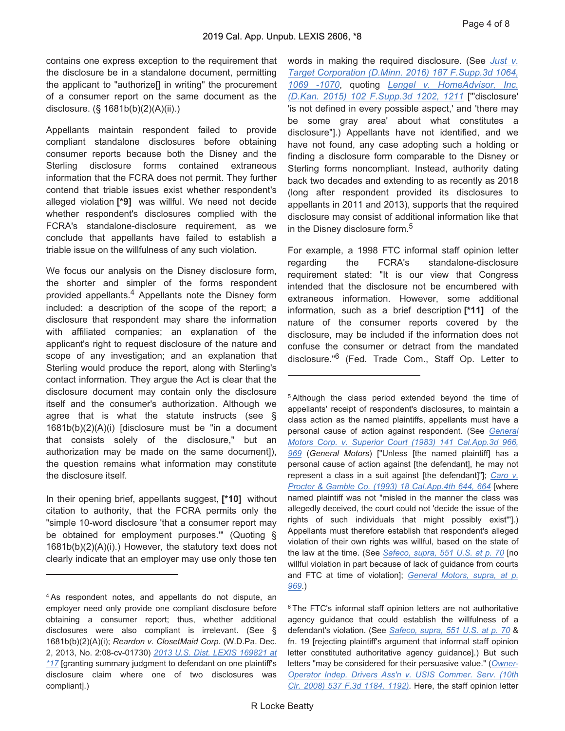contains one express exception to the requirement that the disclosure be in a standalone document, permitting the applicant to "authorize[] in writing" the procurement of a consumer report on the same document as the disclosure. (§ 1681b(b)(2)(A)(ii).)

Appellants maintain respondent failed to provide compliant standalone disclosures before obtaining consumer reports because both the Disney and the Sterling disclosure forms contained extraneous information that the FCRA does not permit. They further contend that triable issues exist whether respondent's alleged violation **[\*9]** was willful. We need not decide whether respondent's disclosures complied with the FCRA's standalone-disclosure requirement, as we conclude that appellants have failed to establish a triable issue on the willfulness of any such violation.

We focus our analysis on the Disney disclosure form, the shorter and simpler of the forms respondent provided appellants.4 Appellants note the Disney form included: a description of the scope of the report; a disclosure that respondent may share the information with affiliated companies; an explanation of the applicant's right to request disclosure of the nature and scope of any investigation; and an explanation that Sterling would produce the report, along with Sterling's contact information. They argue the Act is clear that the disclosure document may contain only the disclosure itself and the consumer's authorization. Although we agree that is what the statute instructs (see § 1681b(b)(2)(A)(i) [disclosure must be "in a document that consists solely of the disclosure," but an authorization may be made on the same document]), the question remains what information may constitute the disclosure itself.

In their opening brief, appellants suggest, **[\*10]** without citation to authority, that the FCRA permits only the "simple 10-word disclosure 'that a consumer report may be obtained for employment purposes.'" (Quoting § 1681b(b)(2)(A)(i).) However, the statutory text does not clearly indicate that an employer may use only those ten

words in making the required disclosure. (See *Just v. Target Corporation (D.Minn. 2016) 187 F.Supp.3d 1064, 1069 -1070*, quoting *Lengel v. HomeAdvisor, Inc. (D.Kan. 2015) 102 F.Supp.3d 1202, 1211* ["'disclosure' 'is not defined in every possible aspect,' and 'there may be some gray area' about what constitutes a disclosure"].) Appellants have not identified, and we have not found, any case adopting such a holding or finding a disclosure form comparable to the Disney or Sterling forms noncompliant. Instead, authority dating back two decades and extending to as recently as 2018 (long after respondent provided its disclosures to appellants in 2011 and 2013), supports that the required disclosure may consist of additional information like that in the Disney disclosure form.<sup>5</sup>

For example, a 1998 FTC informal staff opinion letter regarding the FCRA's standalone-disclosure requirement stated: "It is our view that Congress intended that the disclosure not be encumbered with extraneous information. However, some additional information, such as a brief description **[\*11]** of the nature of the consumer reports covered by the disclosure, may be included if the information does not confuse the consumer or detract from the mandated disclosure."6 (Fed. Trade Com., Staff Op. Letter to

5 Although the class period extended beyond the time of appellants' receipt of respondent's disclosures, to maintain a class action as the named plaintiffs, appellants must have a personal cause of action against respondent. (See *General Motors Corp. v. Superior Court (1983) 141 Cal.App.3d 966, 969* (*General Motors*) ["Unless [the named plaintiff] has a personal cause of action against [the defendant], he may not represent a class in a suit against [the defendant]"]; *Caro v. Procter & Gamble Co. (1993) 18 Cal.App.4th 644, 664* [where named plaintiff was not "misled in the manner the class was allegedly deceived, the court could not 'decide the issue of the rights of such individuals that might possibly exist'"].) Appellants must therefore establish that respondent's alleged violation of their own rights was willful, based on the state of the law at the time. (See *Safeco, supra, 551 U.S. at p. 70* [no willful violation in part because of lack of guidance from courts and FTC at time of violation]; *General Motors, supra, at p. 969*.)

6 The FTC's informal staff opinion letters are not authoritative agency guidance that could establish the willfulness of a defendant's violation. (See *Safeco, supra, 551 U.S. at p. 70* & fn. 19 [rejecting plaintiff's argument that informal staff opinion letter constituted authoritative agency guidance].) But such letters "may be considered for their persuasive value." (*Owner-Operator Indep. Drivers Ass'n v. USIS Commer. Serv. (10th Cir. 2008) 537 F.3d 1184, 1192)*. Here, the staff opinion letter

<sup>4</sup> As respondent notes, and appellants do not dispute, an employer need only provide one compliant disclosure before obtaining a consumer report; thus, whether additional disclosures were also compliant is irrelevant. (See § 1681b(b)(2)(A)(i); *Reardon v. ClosetMaid Corp.* (W.D.Pa. Dec. 2, 2013, No. 2:08-cv-01730) *2013 U.S. Dist. LEXIS 169821 at \*17* [granting summary judgment to defendant on one plaintiff's disclosure claim where one of two disclosures was compliant].)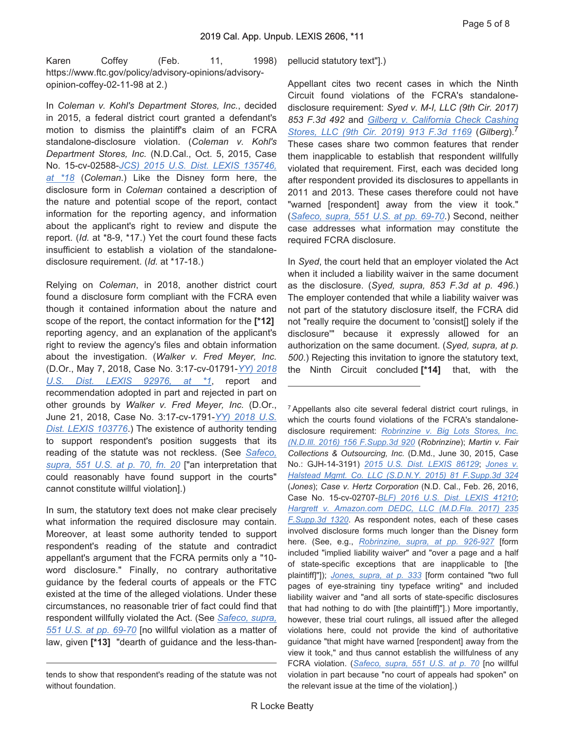Page 5 of 8

Karen Coffey (Feb. 11, 1998) https://www.ftc.gov/policy/advisory-opinions/advisoryopinion-coffey-02-11-98 at 2.)

In *Coleman v. Kohl's Department Stores, Inc.*, decided in 2015, a federal district court granted a defendant's motion to dismiss the plaintiff's claim of an FCRA standalone-disclosure violation. (*Coleman v. Kohl's Department Stores, Inc.* (N.D.Cal., Oct. 5, 2015, Case No. 15-cv-02588-*JCS) 2015 U.S. Dist. LEXIS 135746, at \*18* (*Coleman*.) Like the Disney form here, the disclosure form in *Coleman* contained a description of the nature and potential scope of the report, contact information for the reporting agency, and information about the applicant's right to review and dispute the report. (*Id.* at \*8-9, \*17.) Yet the court found these facts insufficient to establish a violation of the standalonedisclosure requirement. (*Id.* at \*17-18.)

Relying on *Coleman*, in 2018, another district court found a disclosure form compliant with the FCRA even though it contained information about the nature and scope of the report, the contact information for the **[\*12]**  reporting agency, and an explanation of the applicant's right to review the agency's files and obtain information about the investigation. (*Walker v. Fred Meyer, Inc.* (D.Or., May 7, 2018, Case No. 3:17-cv-01791-*YY) 2018 U.S. Dist. LEXIS 92976, at \*1*, report and recommendation adopted in part and rejected in part on other grounds by *Walker v. Fred Meyer, Inc.* (D.Or., June 21, 2018, Case No. 3:17-cv-1791-*YY) 2018 U.S. Dist. LEXIS 103776*.) The existence of authority tending to support respondent's position suggests that its reading of the statute was not reckless. (See *Safeco, supra, 551 U.S. at p. 70, fn. 20* ["an interpretation that could reasonably have found support in the courts" cannot constitute willful violation].)

In sum, the statutory text does not make clear precisely what information the required disclosure may contain. Moreover, at least some authority tended to support respondent's reading of the statute and contradict appellant's argument that the FCRA permits only a "10 word disclosure." Finally, no contrary authoritative guidance by the federal courts of appeals or the FTC existed at the time of the alleged violations. Under these circumstances, no reasonable trier of fact could find that respondent willfully violated the Act. (See *Safeco, supra, 551 U.S. at pp. 69-70* [no willful violation as a matter of law, given **[\*13]** "dearth of guidance and the less-than-

pellucid statutory text"].)

Appellant cites two recent cases in which the Ninth Circuit found violations of the FCRA's standalonedisclosure requirement: *Syed v. M-I, LLC (9th Cir. 2017) 853 F.3d 492* and *Gilberg v. California Check Cashing Stores, LLC (9th Cir. 2019) 913 F.3d 1169* (*Gilberg*).<sup>7</sup> These cases share two common features that render them inapplicable to establish that respondent willfully violated that requirement. First, each was decided long after respondent provided its disclosures to appellants in 2011 and 2013. These cases therefore could not have "warned [respondent] away from the view it took." (*Safeco, supra, 551 U.S. at pp. 69-70*.) Second, neither case addresses what information may constitute the required FCRA disclosure.

In *Syed*, the court held that an employer violated the Act when it included a liability waiver in the same document as the disclosure. (*Syed, supra, 853 F.3d at p. 496*.) The employer contended that while a liability waiver was not part of the statutory disclosure itself, the FCRA did not "really require the document to 'consist[] solely if the disclosure'" because it expressly allowed for an authorization on the same document. (*Syed, supra, at p. 500*.) Rejecting this invitation to ignore the statutory text, the Ninth Circuit concluded **[\*14]** that, with the

7 Appellants also cite several federal district court rulings, in which the courts found violations of the FCRA's standalonedisclosure requirement: *Robrinzine v. Big Lots Stores, Inc. (N.D.Ill. 2016) 156 F.Supp.3d 920* (*Robrinzine*); *Martin v. Fair Collections & Outsourcing, Inc.* (D.Md., June 30, 2015, Case No.: GJH-14-3191) *2015 U.S. Dist. LEXIS 86129*; *Jones v. Halstead Mgmt. Co. LLC (S.D.N.Y. 2015) 81 F.Supp.3d 324* (*Jones*); *Case v. Hertz Corporation* (N.D. Cal., Feb. 26, 2016, Case No. 15-cv-02707-*BLF) 2016 U.S. Dist. LEXIS 41210*; *Hargrett v. Amazon.com DEDC, LLC (M.D.Fla. 2017) 235 F.Supp.3d 1320*. As respondent notes, each of these cases involved disclosure forms much longer than the Disney form here. (See, e.g., *Robrinzine, supra, at pp. 926-927* [form included "implied liability waiver" and "over a page and a half of state-specific exceptions that are inapplicable to [the plaintiff]"]); *Jones, supra, at p. 333* [form contained "two full pages of eye-straining tiny typeface writing" and included liability waiver and "and all sorts of state-specific disclosures that had nothing to do with [the plaintiff]"].) More importantly, however, these trial court rulings, all issued after the alleged violations here, could not provide the kind of authoritative guidance "that might have warned [respondent] away from the view it took," and thus cannot establish the willfulness of any FCRA violation. (*Safeco, supra, 551 U.S. at p. 70* [no willful violation in part because "no court of appeals had spoken" on the relevant issue at the time of the violation].)

tends to show that respondent's reading of the statute was not without foundation.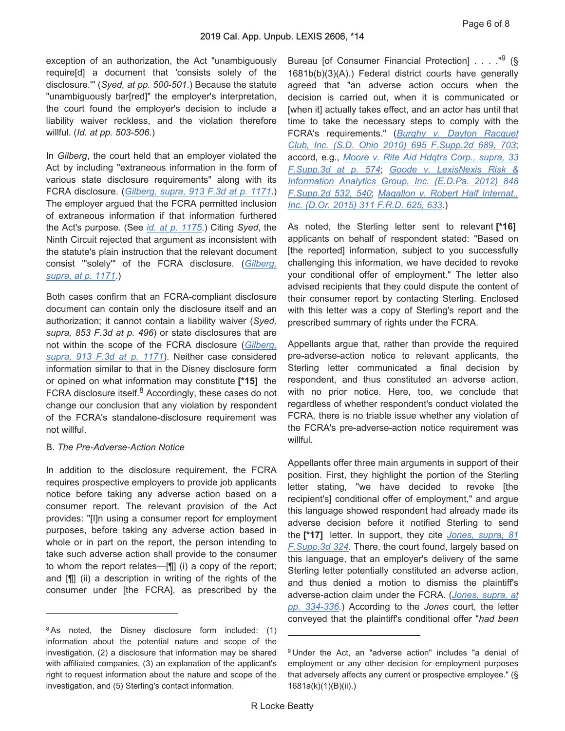exception of an authorization, the Act "unambiguously require[d] a document that 'consists solely of the disclosure.'" (*Syed, at pp. 500-501*.) Because the statute "unambiguously bar[red]" the employer's interpretation, the court found the employer's decision to include a liability waiver reckless, and the violation therefore willful. (*Id. at pp. 503-506*.)

In *Gilberg*, the court held that an employer violated the Act by including "extraneous information in the form of various state disclosure requirements" along with its FCRA disclosure. (*Gilberg, supra, 913 F.3d at p. 1171*.) The employer argued that the FCRA permitted inclusion of extraneous information if that information furthered the Act's purpose. (See *id. at p. 1175*.) Citing *Syed*, the Ninth Circuit rejected that argument as inconsistent with the statute's plain instruction that the relevant document consist "'solely'" of the FCRA disclosure. (*Gilberg, supra, at p. 1171*.)

Both cases confirm that an FCRA-compliant disclosure document can contain only the disclosure itself and an authorization; it cannot contain a liability waiver (*Syed, supra, 853 F.3d at p. 496*) or state disclosures that are not within the scope of the FCRA disclosure (*Gilberg, supra, 913 F.3d at p. 1171*). Neither case considered information similar to that in the Disney disclosure form or opined on what information may constitute **[\*15]** the FCRA disclosure itself. $8$  Accordingly, these cases do not change our conclusion that any violation by respondent of the FCRA's standalone-disclosure requirement was not willful.

#### B. *The Pre-Adverse-Action Notice*

In addition to the disclosure requirement, the FCRA requires prospective employers to provide job applicants notice before taking any adverse action based on a consumer report. The relevant provision of the Act provides: "[I]n using a consumer report for employment purposes, before taking any adverse action based in whole or in part on the report, the person intending to take such adverse action shall provide to the consumer to whom the report relates—[¶] (i) a copy of the report; and [¶] (ii) a description in writing of the rights of the consumer under [the FCRA], as prescribed by the

Bureau [of Consumer Financial Protection] . . . . "<sup>9</sup> (§ 1681b(b)(3)(A).) Federal district courts have generally agreed that "an adverse action occurs when the decision is carried out, when it is communicated or [when it] actually takes effect, and an actor has until that time to take the necessary steps to comply with the FCRA's requirements." (*Burghy v. Dayton Racquet Club, Inc. (S.D. Ohio 2010) 695 F.Supp.2d 689, 703*; accord, e.g., *Moore v. Rite Aid Hdqtrs Corp., supra, 33 F.Supp.3d at p. 574*; *Goode v. LexisNexis Risk & Information Analytics Group, Inc. (E.D.Pa. 2012) 848 F.Supp.2d 532, 540*; *Magallon v. Robert Half Internat., Inc. (D.Or. 2015) 311 F.R.D. 625, 633*.)

As noted, the Sterling letter sent to relevant **[\*16]**  applicants on behalf of respondent stated: "Based on [the reported] information, subject to you successfully challenging this information, we have decided to revoke your conditional offer of employment." The letter also advised recipients that they could dispute the content of their consumer report by contacting Sterling. Enclosed with this letter was a copy of Sterling's report and the prescribed summary of rights under the FCRA.

Appellants argue that, rather than provide the required pre-adverse-action notice to relevant applicants, the Sterling letter communicated a final decision by respondent, and thus constituted an adverse action, with no prior notice. Here, too, we conclude that regardless of whether respondent's conduct violated the FCRA, there is no triable issue whether any violation of the FCRA's pre-adverse-action notice requirement was willful.

Appellants offer three main arguments in support of their position. First, they highlight the portion of the Sterling letter stating, "we have decided to revoke [the recipient's] conditional offer of employment," and argue this language showed respondent had already made its adverse decision before it notified Sterling to send the **[\*17]** letter. In support, they cite *Jones, supra, 81 F.Supp.3d 324*. There, the court found, largely based on this language, that an employer's delivery of the same Sterling letter potentially constituted an adverse action, and thus denied a motion to dismiss the plaintiff's adverse-action claim under the FCRA. (*Jones, supra, at pp. 334-336*.) According to the *Jones* court, the letter conveyed that the plaintiff's conditional offer "*had been*

<sup>&</sup>lt;sup>8</sup> As noted, the Disney disclosure form included: (1) information about the potential nature and scope of the investigation, (2) a disclosure that information may be shared with affiliated companies, (3) an explanation of the applicant's right to request information about the nature and scope of the investigation, and (5) Sterling's contact information.

<sup>9</sup> Under the Act, an "adverse action" includes "a denial of employment or any other decision for employment purposes that adversely affects any current or prospective employee." (§ 1681a(k)(1)(B)(ii).)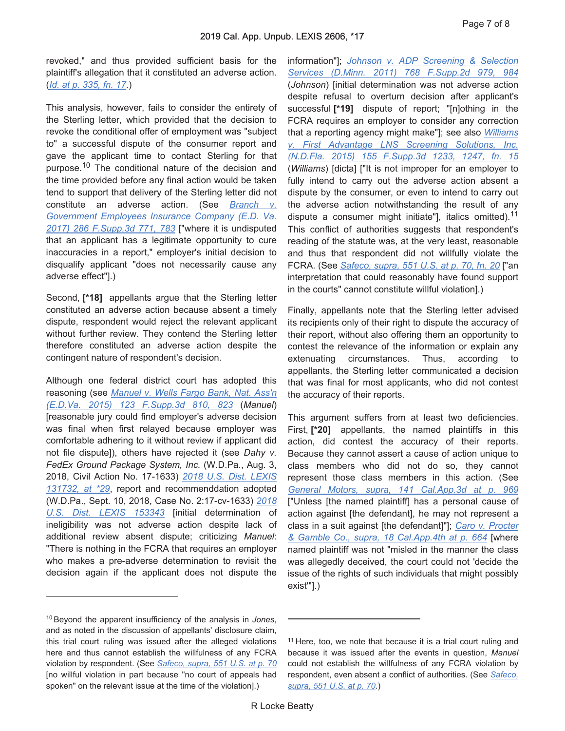revoked," and thus provided sufficient basis for the plaintiff's allegation that it constituted an adverse action. (*Id. at p. 335, fn. 17*.)

This analysis, however, fails to consider the entirety of the Sterling letter, which provided that the decision to revoke the conditional offer of employment was "subject to" a successful dispute of the consumer report and gave the applicant time to contact Sterling for that purpose.<sup>10</sup> The conditional nature of the decision and the time provided before any final action would be taken tend to support that delivery of the Sterling letter did not constitute an adverse action. (See *Branch v. Government Employees Insurance Company (E.D. Va. 2017) 286 F.Supp.3d 771, 783* ["where it is undisputed that an applicant has a legitimate opportunity to cure inaccuracies in a report," employer's initial decision to disqualify applicant "does not necessarily cause any adverse effect"].)

Second, **[\*18]** appellants argue that the Sterling letter constituted an adverse action because absent a timely dispute, respondent would reject the relevant applicant without further review. They contend the Sterling letter therefore constituted an adverse action despite the contingent nature of respondent's decision.

Although one federal district court has adopted this reasoning (see *Manuel v. Wells Fargo Bank, Nat. Ass'n (E.D.Va. 2015) 123 F.Supp.3d 810, 823* (*Manuel*) [reasonable jury could find employer's adverse decision was final when first relayed because employer was comfortable adhering to it without review if applicant did not file dispute]), others have rejected it (see *Dahy v. FedEx Ground Package System, Inc.* (W.D.Pa., Aug. 3, 2018, Civil Action No. 17-1633) *2018 U.S. Dist. LEXIS 131732, at \*29*, report and recommenddation adopted (W.D.Pa., Sept. 10, 2018, Case No. 2:17-cv-1633) *2018 U.S. Dist. LEXIS 153343* [initial determination of ineligibility was not adverse action despite lack of additional review absent dispute; criticizing *Manuel*: "There is nothing in the FCRA that requires an employer who makes a pre-adverse determination to revisit the decision again if the applicant does not dispute the

10 Beyond the apparent insufficiency of the analysis in *Jones*, and as noted in the discussion of appellants' disclosure claim, this trial court ruling was issued after the alleged violations here and thus cannot establish the willfulness of any FCRA violation by respondent. (See *Safeco, supra, 551 U.S. at p. 70* [no willful violation in part because "no court of appeals had spoken" on the relevant issue at the time of the violation].)

information"]; *Johnson v. ADP Screening & Selection Services (D.Minn. 2011) 768 F.Supp.2d 979, 984* (*Johnson*) [initial determination was not adverse action despite refusal to overturn decision after applicant's successful **[\*19]** dispute of report; "[n]othing in the FCRA requires an employer to consider any correction that a reporting agency might make"]; see also *Williams v. First Advantage LNS Screening Solutions, Inc. (N.D.Fla. 2015) 155 F.Supp.3d 1233, 1247, fn. 15* (*Williams*) [dicta] ["It is not improper for an employer to fully intend to carry out the adverse action absent a dispute by the consumer, or even to intend to carry out the adverse action notwithstanding the result of any dispute a consumer might initiate", italics omitted).<sup>11</sup> This conflict of authorities suggests that respondent's reading of the statute was, at the very least, reasonable and thus that respondent did not willfully violate the FCRA. (See *Safeco, supra, 551 U.S. at p. 70, fn. 20* ["an interpretation that could reasonably have found support in the courts" cannot constitute willful violation].)

Finally, appellants note that the Sterling letter advised its recipients only of their right to dispute the accuracy of their report, without also offering them an opportunity to contest the relevance of the information or explain any extenuating circumstances. Thus, according to appellants, the Sterling letter communicated a decision that was final for most applicants, who did not contest the accuracy of their reports.

This argument suffers from at least two deficiencies. First, **[\*20]** appellants, the named plaintiffs in this action, did contest the accuracy of their reports. Because they cannot assert a cause of action unique to class members who did not do so, they cannot represent those class members in this action. (See *General Motors, supra, 141 Cal.App.3d at p. 969* ["Unless [the named plaintiff] has a personal cause of action against [the defendant], he may not represent a class in a suit against [the defendant]"]; *Caro v. Procter & Gamble Co., supra, 18 Cal.App.4th at p. 664* [where named plaintiff was not "misled in the manner the class was allegedly deceived, the court could not 'decide the issue of the rights of such individuals that might possibly exist'"].)

<sup>&</sup>lt;sup>11</sup> Here, too, we note that because it is a trial court ruling and because it was issued after the events in question, *Manuel* could not establish the willfulness of any FCRA violation by respondent, even absent a conflict of authorities. (See *Safeco, supra, 551 U.S. at p. 70*.)